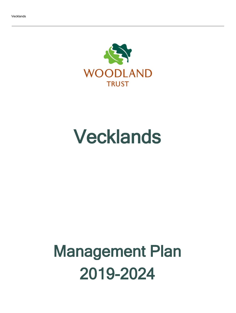

## Vecklands

# Management Plan 2019-2024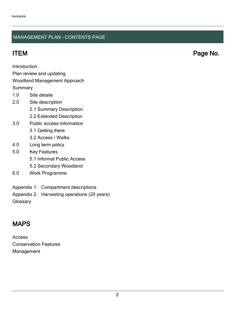## MANAGEMENT PLAN - CONTENTS PAGE

ITEM Page No.

Introduction

Plan review and updating

## Woodland Management Approach

**Summary** 

- 1.0 Site details
- 2.0 Site description
	- 2.1 Summary Description
	- 2.2 Extended Description
- 3.0 Public access information
	- 3.1 Getting there
	- 3.2 Access / Walks
- 4.0 Long term policy
- 5.0 Key Features
	- 5.1 Informal Public Access
	- 5.2 Secondary Woodland
- 6.0 Work Programme
- Appendix 1: Compartment descriptions
- Appendix 2: Harvesting operations (20 years)

**Glossary** 

## MAPS

Access Conservation Features Management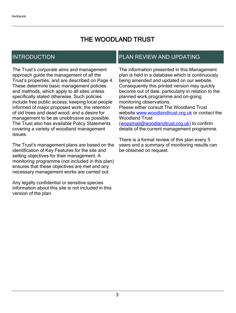## THE WOODLAND TRUST

## INTRODUCTION

The Trust's corporate aims and management approach guide the management of all the Trust's properties, and are described on Page 4. These determine basic management policies and methods, which apply to all sites unless specifically stated otherwise. Such policies include free public access; keeping local people informed of major proposed work; the retention of old trees and dead wood; and a desire for management to be as unobtrusive as possible. The Trust also has available Policy Statements covering a variety of woodland management issues.

The Trust's management plans are based on the identification of Key Features for the site and setting objectives for their management. A monitoring programme (not included in this plan) ensures that these objectives are met and any necessary management works are carried out.

Any legally confidential or sensitive species information about this site is not included in this version of the plan.

## PLAN REVIEW AND UPDATING

The information presented in this Management plan is held in a database which is continuously being amended and updated on our website. Consequently this printed version may quickly become out of date, particularly in relation to the planned work programme and on-going monitoring observations. Please either consult The Woodland Trust website [www.woodlandtrust.org.uk](http://www.woodlandtrust.org.uk/) or contact the Woodland Trust [\(wopsmail@woodlandtrust.org.uk](mailto:wopsmail@woodlandtrust.org.uk)) to confirm

details of the current management programme.

There is a formal review of this plan every 5 years and a summary of monitoring results can be obtained on request.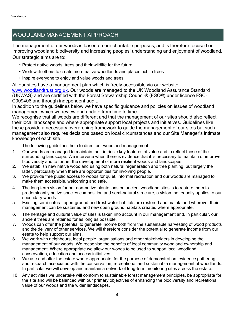## WOODLAND MANAGEMENT APPROACH

The management of our woods is based on our charitable purposes, and is therefore focused on improving woodland biodiversity and increasing peoples' understanding and enjoyment of woodland. Our strategic aims are to:

- Protect native woods, trees and their wildlife for the future
- Work with others to create more native woodlands and places rich in trees
- Inspire everyone to enjoy and value woods and trees

All our sites have a management plan which is freely accessible via our website [www.woodlandtrust.org.uk.](http://www.woodlandtrust.org.uk/) Our woods are managed to the UK Woodland Assurance Standard (UKWAS) and are certified with the Forest Stewardship Council® (FSC®) under licence FSC-C009406 and through independent audit.

In addition to the guidelines below we have specific guidance and policies on issues of woodland management which we review and update from time to time.

We recognise that all woods are different and that the management of our sites should also reflect their local landscape and where appropriate support local projects and initiatives. Guidelines like these provide a necessary overarching framework to guide the management of our sites but such management also requires decisions based on local circumstances and our Site Manager's intimate knowledge of each site.

The following guidelines help to direct our woodland management:

- 1. Our woods are managed to maintain their intrinsic key features of value and to reflect those of the surrounding landscape. We intervene when there is evidence that it is necessary to maintain or improve biodiversity and to further the development of more resilient woods and landscapes.
- 2. We establish new native woodland using both natural regeneration and tree planting, but largely the latter, particularly when there are opportunities for involving people.
- 3. We provide free public access to woods for quiet, informal recreation and our woods are managed to make them accessible, welcoming and safe.
- 4. The long term vision for our non-native plantations on ancient woodland sites is to restore them to predominantly native species composition and semi-natural structure, a vision that equally applies to our secondary woods.
- 5. Existing semi-natural open-ground and freshwater habitats are restored and maintained wherever their management can be sustained and new open ground habitats created where appropriate.
- 6. The heritage and cultural value of sites is taken into account in our management and, in particular, our ancient trees are retained for as long as possible.
- 7. Woods can offer the potential to generate income both from the sustainable harvesting of wood products and the delivery of other services. We will therefore consider the potential to generate income from our estate to help support our aims.
- 8. We work with neighbours, local people, organisations and other stakeholders in developing the management of our woods. We recognise the benefits of local community woodland ownership and management. Where appropriate we allow our woods to be used to support local woodland, conservation, education and access initiatives.
- 9. We use and offer the estate where appropriate, for the purpose of demonstration, evidence gathering and research associated with the conservation, recreational and sustainable management of woodlands. In particular we will develop and maintain a network of long-term monitoring sites across the estate.
- 10 Any activities we undertake will conform to sustainable forest management principles, be appropriate for the site and will be balanced with our primary objectives of enhancing the biodiversity and recreational value of our woods and the wider landscapes.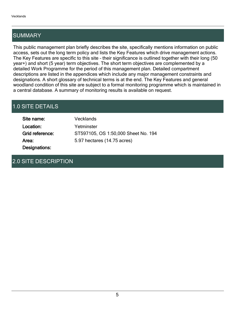## SUMMARY

This public management plan briefly describes the site, specifically mentions information on public access, sets out the long term policy and lists the Key Features which drive management actions. The Key Features are specific to this site - their significance is outlined together with their long (50) year+) and short (5 year) term objectives. The short term objectives are complemented by a detailed Work Programme for the period of this management plan. Detailed compartment descriptions are listed in the appendices which include any major management constraints and designations. A short glossary of technical terms is at the end. The Key Features and general woodland condition of this site are subject to a formal monitoring programme which is maintained in a central database. A summary of monitoring results is available on request.

## 1.0 SITE DETAILS

| Site name:      | Vecklands                           |
|-----------------|-------------------------------------|
| Location:       | Yetminster                          |
| Grid reference: | ST597105, OS 1:50,000 Sheet No. 194 |
| Area:           | 5.97 hectares (14.75 acres)         |
| Designations:   |                                     |

## 2.0 SITE DESCRIPTION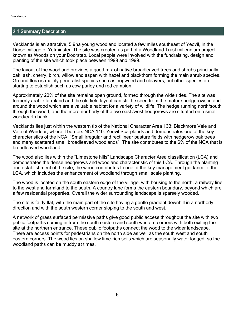## 2.1 Summary Description

Vecklands is an attractive, 5.9ha young woodland located a few miles southeast of Yeovil, in the Dorset village of Yetminster. The site was created as part of a Woodland Trust millennium project known as Woods on your Doorstep. Local people were involved with the fundraising, design and planting of the site which took place between 1998 and 1999.

The layout of the woodland provides a good mix of native broadleaved trees and shrubs principally oak, ash, cherry, birch, willow and aspen with hazel and blackthorn forming the main shrub species. Ground flora is mainly generalist species such as hogweed and cleavers, but other species are starting to establish such as cow parley and red campion.

Approximately 20% of the site remains open ground, formed through the wide rides. The site was formerly arable farmland and the old field layout can still be seen from the mature hedgerows in and around the wood which are a valuable habitat for a variety of wildlife. The hedge running north/south through the wood, and the more northerly of the two east /west hedgerows are situated on a small wood/earth bank.

Vecklands lies just within the western tip of the National Character Area 133: Blackmore Vale and Vale of Wardour, where it borders NCA 140. Yeovil Scarplands and demonstrates one of the key characteristics of the NCA: "Small irregular and rectilinear pasture fields with hedgerow oak trees and many scattered small broadleaved woodlands". The site contributes to the 6% of the NCA that is broadleaved woodland.

The wood also lies within the "Limestone hills" Landscape Character Area classification (LCA) and demonstrates the dense hedgerows and woodland characteristic of this LCA. Through the planting and establishment of the site, the wood contributes to one of the key management guidance of the LCA, which includes the enhancement of woodland through small scale planting.

The wood is located on the south eastern edge of the village, with housing to the north, a railway line to the west and farmland to the south. A country lane forms the eastern boundary, beyond which are a few residential properties. Overall the wider surrounding landscape is sparsely wooded.

The site is fairly flat, with the main part of the site having a gentle gradient downhill in a northerly direction and with the south western corner sloping to the south and west.

A network of grass surfaced permissive paths give good public access throughout the site with two public footpaths coming in from the south eastern and south western corners with both exiting the site at the northern entrance. These public footpaths connect the wood to the wider landscape. There are access points for pedestrians on the north side as well as the south west and south eastern corners. The wood lies on shallow lime-rich soils which are seasonally water logged, so the woodland paths can be muddy at times.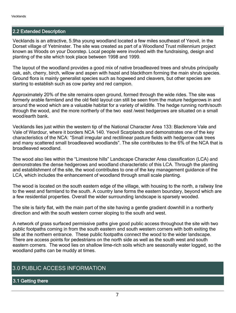## 2.2 Extended Description

Vecklands is an attractive, 5.9ha young woodland located a few miles southeast of Yeovil, in the Dorset village of Yetminster. The site was created as part of a Woodland Trust millennium project known as Woods on your Doorstep. Local people were involved with the fundraising, design and planting of the site which took place between 1998 and 1999.

The layout of the woodland provides a good mix of native broadleaved trees and shrubs principally oak, ash, cherry, birch, willow and aspen with hazel and blackthorn forming the main shrub species. Ground flora is mainly generalist species such as hogweed and cleavers, but other species are starting to establish such as cow parley and red campion.

Approximately 20% of the site remains open ground, formed through the wide rides. The site was formerly arable farmland and the old field layout can still be seen from the mature hedgerows in and around the wood which are a valuable habitat for a variety of wildlife. The hedge running north/south through the wood, and the more northerly of the two east /west hedgerows are situated on a small wood/earth bank.

Vecklands lies just within the western tip of the National Character Area 133: Blackmore Vale and Vale of Wardour, where it borders NCA 140. Yeovil Scarplands and demonstrates one of the key characteristics of the NCA: "Small irregular and rectilinear pasture fields with hedgerow oak trees and many scattered small broadleaved woodlands". The site contributes to the 6% of the NCA that is broadleaved woodland.

The wood also lies within the "Limestone hills" Landscape Character Area classification (LCA) and demonstrates the dense hedgerows and woodland characteristic of this LCA. Through the planting and establishment of the site, the wood contributes to one of the key management guidance of the LCA, which includes the enhancement of woodland through small scale planting.

The wood is located on the south eastern edge of the village, with housing to the north, a railway line to the west and farmland to the south. A country lane forms the eastern boundary, beyond which are a few residential properties. Overall the wider surrounding landscape is sparsely wooded.

The site is fairly flat, with the main part of the site having a gentle gradient downhill in a northerly direction and with the south western corner sloping to the south and west.

A network of grass surfaced permissive paths give good public access throughout the site with two public footpaths coming in from the south eastern and south western corners with both exiting the site at the northern entrance. These public footpaths connect the wood to the wider landscape. There are access points for pedestrians on the north side as well as the south west and south eastern corners. The wood lies on shallow lime-rich soils which are seasonally water logged, so the woodland paths can be muddy at times.

## 3.0 PUBLIC ACCESS INFORMATION

3.1 Getting there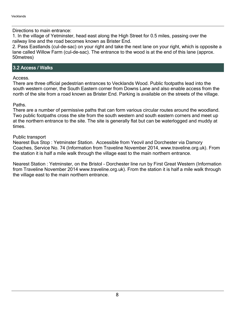Directions to main entrance:

1. In the village of Yetminster, head east along the High Street for 0.5 miles, passing over the railway line and the road becomes known as Brister End.

2. Pass Eastlands (cul-de-sac) on your right and take the next lane on your right, which is opposite a lane called Willow Farm (cul-de-sac). The entrance to the wood is at the end of this lane (approx. 50metres)

## 3.2 Access / Walks

Access.

There are three official pedestrian entrances to Vecklands Wood. Public footpaths lead into the south western corner, the South Eastern corner from Downs Lane and also enable access from the north of the site from a road known as Brister End. Parking is available on the streets of the village.

## Paths.

There are a number of permissive paths that can form various circular routes around the woodland. Two public footpaths cross the site from the south western and south eastern corners and meet up at the northern entrance to the site. The site is generally flat but can be waterlogged and muddy at times.

## Public transport

Nearest Bus Stop : Yetminster Station. Accessible from Yeovil and Dorchester via Damory Coaches, Service No. 74 (Information from Traveline November 2014, www.traveline.org.uk). From the station it is half a mile walk through the village east to the main northern entrance.

Nearest Station : Yetminster, on the Bristol - Dorchester line run by First Great Western (Information from Traveline November 2014 www.traveline.org.uk). From the station it is half a mile walk through the village east to the main northern entrance.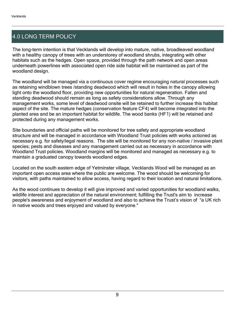## 4.0 LONG TERM POLICY

The long-term intention is that Vecklands will develop into mature, native, broadleaved woodland with a healthy canopy of trees with an understorey of woodland shrubs, integrating with other habitats such as the hedges. Open space, provided through the path network and open areas underneath powerlines with associated open ride side habitat will be maintained as part of the woodland design.

The woodland will be managed via a continuous cover regime encouraging natural processes such as retaining windblown trees /standing deadwood which will result in holes in the canopy allowing light onto the woodland floor, providing new opportunities for natural regeneration. Fallen and standing deadwood should remain as long as safety considerations allow. Through any management works, some level of deadwood onsite will be retained to further increase this habitat aspect of the site. The mature hedges (conservation feature CF4) will become integrated into the planted area and be an important habitat for wildlife. The wood banks (HF1) will be retained and protected during any management works.

Site boundaries and official paths will be monitored for tree safety and appropriate woodland structure and will be managed in accordance with Woodland Trust policies with works actioned as necessary e.g. for safety/legal reasons. The site will be monitored for any non-native / invasive plant species; pests and diseases and any management carried out as necessary in accordance with Woodland Trust policies. Woodland margins will be monitored and managed as necessary e.g. to maintain a graduated canopy towards woodland edges.

Located on the south eastern edge of Yetminster village, Vecklands Wood will be managed as an important open access area where the public are welcome. The wood should be welcoming for visitors, with paths maintained to allow access, having regard to their location and natural limitations.

As the wood continues to develop it will give improved and varied opportunities for woodland walks, wildlife interest and appreciation of the natural environment; fulfilling the Trust's aim to increase people's awareness and enjoyment of woodland and also to achieve the Trust's vision of "a UK rich in native woods and trees enjoyed and valued by everyone."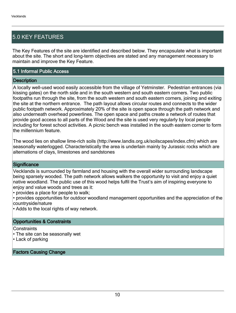## 5.0 KEY FEATURES

The Key Features of the site are identified and described below. They encapsulate what is important about the site. The short and long-term objectives are stated and any management necessary to maintain and improve the Key Feature.

## 5.1 Informal Public Access

#### **Description**

A locally well-used wood easily accessible from the village of Yetminster. Pedestrian entrances (via kissing gates) on the north side and in the south western and south eastern corners. Two public footpaths run through the site, from the south western and south eastern corners, joining and exiting the site at the northern entrance. The path layout allows circular routes and connects to the wider public footpath network. Approximately 20% of the site is open space through the path network and also underneath overhead powerlines. The open space and paths create a network of routes that provide good access to all parts of the Wood and the site is used very regularly by local people including for forest school activities. A picnic bench was installed in the south eastern corner to form the millennium feature.

The wood lies on shallow lime-rich soils (http://www.landis.org.uk/soilscapes/index.cfm) which are seasonally waterlogged. Characteristically the area is underlain mainly by Jurassic rocks which are alternations of clays, limestones and sandstones

#### **Significance**

Vecklands is surrounded by farmland and housing with the overall wider surrounding landscape being sparsely wooded. The path network allows walkers the opportunity to visit and enjoy a quiet native woodland. The public use of this wood helps fulfil the Trust's aim of inspiring everyone to enjoy and value woods and trees as it:

provides a place for people to walk;

provides opportunities for outdoor woodland management opportunities and the appreciation of the countryside/nature

Adds to the local rights of way network.

## Opportunities & Constraints

**Constraints** 

The site can be seasonally wet

Lack of parking

Factors Causing Change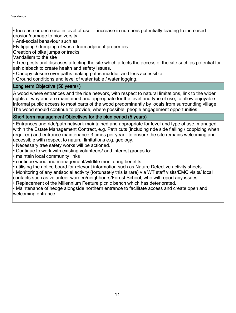• Increase or decrease in level of use - increase in numbers potentially leading to increased erosion/damage to biodiversity

Anti-social behaviour such as

Fly tipping / dumping of waste from adjacent properties

Creation of bike jumps or tracks

Vandalism to the site

Tree pests and diseases affecting the site which affects the access of the site such as potential for ash dieback to create health and safety issues.

- Canopy closure over paths making paths muddier and less accessible
- Ground conditions and level of water table / water logging.

## Long term Objective (50 years+)

A wood where entrances and the ride network, with respect to natural limitations, link to the wider rights of way and are maintained and appropriate for the level and type of use, to allow enjoyable informal public access to most parts of the wood predominantly by locals from surrounding village. The wood should continue to provide, where possible, people engagement opportunities.

## Short term management Objectives for the plan period (5 years)

Entrances and ride/path network maintained and appropriate for level and type of use, managed within the Estate Management Contract, e.g. Path cuts (including ride side flailing / coppicing when required) and entrance maintenance 3 times per year - to ensure the site remains welcoming and accessible with respect to natural limitations e.g. geology.

- Necessary tree safety works will be actioned.
- Continue to work with existing volunteers/ and interest groups to:
- maintain local community links
- continue woodland management/wildlife monitoring benefits
- utilising the notice board for relevant information such as Nature Defective activity sheets
- Monitoring of any antisocial activity (fortunately this is rare) via WT staff visits/EMC visits/ local contacts such as volunteer warden/neighbours/Forest School, who will report any issues.
- Replacement of the Millennium Feature picnic bench which has deteriorated.

Maintenance of hedge alongside northern entrance to facilitate access and create open and welcoming entrance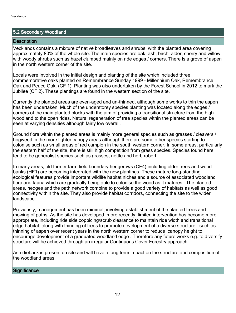## 5.2 Secondary Woodland

## **Description**

Vecklands contains a mixture of native broadleaves and shrubs, with the planted area covering approximately 80% of the whole site. The main species are oak, ash, birch, alder, cherry and willow with woody shrubs such as hazel clumped mainly on ride edges / corners. There is a grove of aspen in the north western corner of the site.

Locals were involved in the initial design and planting of the site which included three commemorative oaks planted on Remembrance Sunday 1999 - Millennium Oak, Remembrance Oak and Peace Oak. (CF 1). Planting was also undertaken by the Forest School in 2012 to mark the Jubilee (CF 2). These plantings are found in the western section of the site.

Currently the planted areas are even-aged and un-thinned, although some works to thin the aspen has been undertaken. Much of the understorey species planting was located along the edges / corners of the main planted blocks with the aim of providing a transitional structure from the high woodland to the open rides. Natural regeneration of tree species within the planted areas can be seen at varying densities although fairly low overall.

Ground flora within the planted areas is mainly more general species such as grasses / cleavers / hogweed in the more lighter canopy areas although there are some other species starting to colonise such as small areas of red campion in the south western corner. In some areas, particularly the eastern half of the site, there is still high competition from grass species. Species found here tend to be generalist species such as grasses, nettle and herb robert.

In many areas, old former farm field boundary hedgerows (CF4) including older trees and wood banks (HF1) are becoming integrated with the new plantings. These mature long-standing ecological features provide important wildlife habitat niches and a source of associated woodland flora and fauna which are gradually being able to colonise the wood as it matures. The planted areas, hedges and the path network combine to provide a good variety of habitats as well as good connectivity within the site. They also provide habitat corridors, connecting the site to the wider landscape.

Previously, management has been minimal, involving establishment of the planted trees and mowing of paths. As the site has developed, more recently, limited intervention has become more appropriate, including ride side coppicing/scrub clearance to maintain ride width and transitional edge habitat, along with thinning of trees to promote development of a diverse structure - such as thinning of aspen over recent years in the north western corner to reduce canopy height to encourage development of a graduated woodland edge . Therefore any future works e.g. to diversify structure will be achieved through an irregular Continuous Cover Forestry approach.

Ash dieback is present on site and will have a long term impact on the structure and composition of the woodland areas.

## **Significance**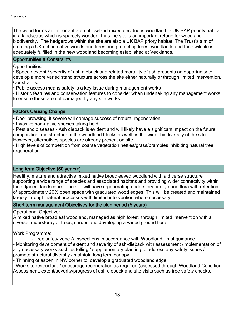The wood forms an important area of lowland mixed deciduous woodland, a UK BAP priority habitat in a landscape which is sparcely wooded, thus the site is an important refuge for woodland biodiversity. The hedgerows within the site are also a UK BAP priory habitat. The Trust's aim of creating a UK rich in native woods and trees and protecting trees, woodlands and their wildlife is adequately fulfilled in the new woodland becoming established at Vecklands.

## Opportunities & Constraints

## Opportunities:

Speed / extent / severity of ash dieback and related mortality of ash presents an opportunity to develop a more varied stand structure across the site either naturally or through limited intervention. Constraints:

Public access means safety is a key issue during management works

Historic features and conservation features to consider when undertaking any management works to ensure these are not damaged by any site works

## Factors Causing Change

Deer browsing, if severe will damage success of natural regeneration

• Invasive non-native species taking hold

Pest and diseases - Ash dieback is evident and will likely have a significant impact on the future composition and structure of the woodland blocks as well as the wider biodiversity of the site. However, alternatives species are already present on site.

• High levels of competition from coarse vegetation nettles/grass/brambles inhibiting natural tree regeneration

## Long term Objective (50 years+)

Healthy, mature and attractive mixed native broadleaved woodland with a diverse structure supporting a wide range of species and associated habitats and providing wider connectivity within the adjacent landscape. The site will have regenerating understory and ground flora with retention of approximately 20% open space with graduated wood edges. This will be created and maintained largely through natural processes with limited intervention where necessary.

## Short term management Objectives for the plan period (5 years)

Operational Objective:

A mixed native broadleaf woodland, managed as high forest, through limited intervention with a diverse understorey of trees, shrubs and developing a varied ground flora.

Work Programme:

- Tree safety zone A inspections in accordance with Woodland Trust guidance.

- Monitoring development of extent and severity of ash-dieback with assessment /implementation of any necessary works such as felling / supplementary planting to address any safety issues / promote structural diversity / maintain long term canopy.

- Thinning of aspen in NW corner to develop a graduated woodland edge

- Works to restructure / encourage regeneration as required (assessed through Woodland Condition Assessment, extent/severity/progress of ash dieback and site visits such as tree safety checks.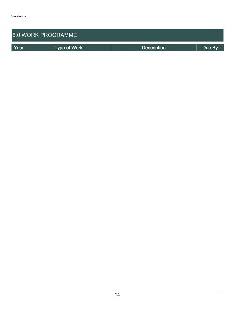| <b>6.0 WORK PROGRAMME</b> |                     |                    |        |  |  |  |
|---------------------------|---------------------|--------------------|--------|--|--|--|
| Year                      | <b>Type of Work</b> | <b>Description</b> | Due By |  |  |  |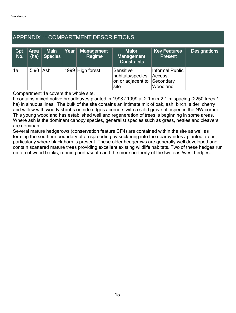## APPENDIX 1: COMPARTMENT DESCRIPTIONS

| Cpt<br>No. | <b>Area</b><br>(ha) | <b>Main</b><br><b>Species</b> | Year | Management<br>Regime | <b>Major</b><br>Management<br><b>Constraints</b>           | <b>Key Features</b><br><b>Present</b>               | <b>Designations</b> |
|------------|---------------------|-------------------------------|------|----------------------|------------------------------------------------------------|-----------------------------------------------------|---------------------|
| '1a        | 5.90 Ash            |                               |      | 1999 High forest     | Sensitive<br>habitats/species<br>on or adjacent to<br>site | Informal Public<br>Access,<br>Secondary<br>Woodland |                     |

Compartment 1a covers the whole site.

It contains mixed native broadleaves planted in 1998 / 1999 at 2.1 m x 2.1 m spacing (2250 trees / ha) in sinuous lines. The bulk of the site contains an intimate mix of oak, ash, birch, alder, cherry and willow with woody shrubs on ride edges / corners with a solid grove of aspen in the NW corner. This young woodland has established well and regeneration of trees is beginning in some areas. Where ash is the dominant canopy species, generalist species such as grass, nettles and cleavers are dominant.

Several mature hedgerows (conservation feature CF4) are contained within the site as well as forming the southern boundary often spreading by suckering into the nearby rides / planted areas, particularly where blackthorn is present. These older hedgerows are generally well developed and contain scattered mature trees providing excellent existing wildlife habitats. Two of these hedges run on top of wood banks, running north/south and the more northerly of the two east/west hedges.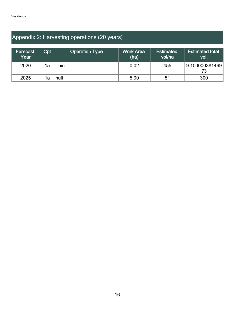## Appendix 2: Harvesting operations (20 years)

| Forecast<br>Year | $\mathsf{Cpt}$ | <b>Operation Type</b> | <b>Work Area</b><br>(ha) | <b>Estimated</b><br>vol/ha | <b>Estimated total</b><br><b>vol.</b> |
|------------------|----------------|-----------------------|--------------------------|----------------------------|---------------------------------------|
| 2020             | 1a             | `hin                  | 0.02                     | 455                        | $\mid$ 9.100000381469 $\mid$<br>73    |
| 2025             | 1a             | null                  | 5.90                     | 51                         | 300                                   |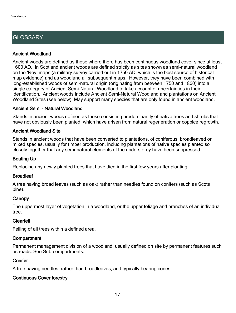## **GLOSSARY**

## Ancient Woodland

Ancient woods are defined as those where there has been continuous woodland cover since at least 1600 AD. In Scotland ancient woods are defined strictly as sites shown as semi-natural woodland on the 'Roy' maps (a military survey carried out in 1750 AD, which is the best source of historical map evidence) and as woodland all subsequent maps. However, they have been combined with long-established woods of semi-natural origin (originating from between 1750 and 1860) into a single category of Ancient Semi-Natural Woodland to take account of uncertainties in their identification. Ancient woods include Ancient Semi-Natural Woodland and plantations on Ancient Woodland Sites (see below). May support many species that are only found in ancient woodland.

## Ancient Semi - Natural Woodland

Stands in ancient woods defined as those consisting predominantly of native trees and shrubs that have not obviously been planted, which have arisen from natural regeneration or coppice regrowth.

## Ancient Woodland Site

Stands in ancient woods that have been converted to plantations, of coniferous, broadleaved or mixed species, usually for timber production, including plantations of native species planted so closely together that any semi-natural elements of the understorey have been suppressed.

## Beating Up

Replacing any newly planted trees that have died in the first few years after planting.

## **Broadleaf**

A tree having broad leaves (such as oak) rather than needles found on conifers (such as Scots pine).

## **Canopy**

The uppermost layer of vegetation in a woodland, or the upper foliage and branches of an individual tree.

## Clearfell

Felling of all trees within a defined area.

## **Compartment**

Permanent management division of a woodland, usually defined on site by permanent features such as roads. See Sub-compartments.

## **Conifer**

A tree having needles, rather than broadleaves, and typically bearing cones.

## Continuous Cover forestry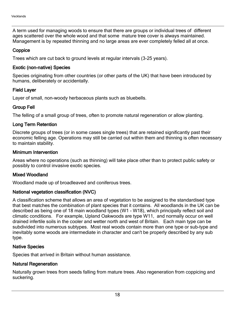A term used for managing woods to ensure that there are groups or individual trees of different ages scattered over the whole wood and that some mature tree cover is always maintained. Management is by repeated thinning and no large areas are ever completely felled all at once.

## **Coppice**

Trees which are cut back to ground levels at regular intervals (3-25 years).

## Exotic (non-native) Species

Species originating from other countries (or other parts of the UK) that have been introduced by humans, deliberately or accidentally.

## Field Layer

Layer of small, non-woody herbaceous plants such as bluebells.

## Group Fell

The felling of a small group of trees, often to promote natural regeneration or allow planting.

## Long Term Retention

Discrete groups of trees (or in some cases single trees) that are retained significantly past their economic felling age. Operations may still be carried out within them and thinning is often necessary to maintain stability.

## Minimum Intervention

Areas where no operations (such as thinning) will take place other than to protect public safety or possibly to control invasive exotic species.

## Mixed Woodland

Woodland made up of broadleaved and coniferous trees.

## National vegetation classification (NVC)

A classification scheme that allows an area of vegetation to be assigned to the standardised type that best matches the combination of plant species that it contains. All woodlands in the UK can be described as being one of 18 main woodland types (W1 - W18), which principally reflect soil and climatic conditions. For example, Upland Oakwoods are type W11, and normally occur on well drained infertile soils in the cooler and wetter north and west of Britain. Each main type can be subdivided into numerous subtypes. Most real woods contain more than one type or sub-type and inevitably some woods are intermediate in character and can't be properly described by any sub type.

## Native Species

Species that arrived in Britain without human assistance.

## Natural Regeneration

Naturally grown trees from seeds falling from mature trees. Also regeneration from coppicing and suckering.